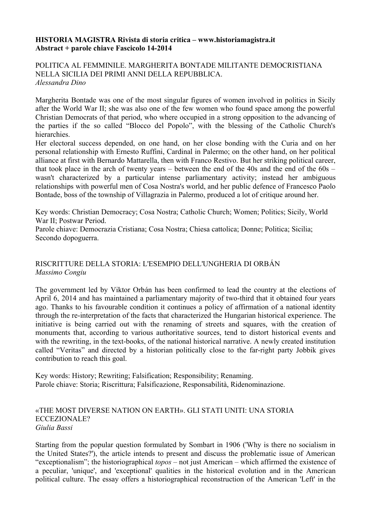### **HISTORIA MAGISTRA Rivista di storia critica – www.historiamagistra.it Abstract + parole chiave Fascicolo 14-2014**

### POLITICA AL FEMMINILE. MARGHERITA BONTADE MILITANTE DEMOCRISTIANA NELLA SICILIA DEI PRIMI ANNI DELLA REPUBBLICA. *Alessandra Dino*

Margherita Bontade was one of the most singular figures of women involved in politics in Sicily after the World War II; she was also one of the few women who found space among the powerful Christian Democrats of that period, who where occupied in a strong opposition to the advancing of the parties if the so called "Blocco del Popolo", with the blessing of the Catholic Church's hierarchies.

Her electoral success depended, on one hand, on her close bonding with the Curia and on her personal relationship with Ernesto Ruffini, Cardinal in Palermo; on the other hand, on her political alliance at first with Bernardo Mattarella, then with Franco Restivo. But her striking political career, that took place in the arch of twenty years – between the end of the 40s and the end of the 60s – wasn't characterized by a particular intense parliamentary activity; instead her ambiguous relationships with powerful men of Cosa Nostra's world, and her public defence of Francesco Paolo Bontade, boss of the township of Villagrazia in Palermo, produced a lot of critique around her.

Key words: Christian Democracy; Cosa Nostra; Catholic Church; Women; Politics; Sicily, World War II; Postwar Period.

Parole chiave: Democrazia Cristiana; Cosa Nostra; Chiesa cattolica; Donne; Politica; Sicilia; Secondo dopoguerra.

## RISCRITTURE DELLA STORIA: L'ESEMPIO DELL'UNGHERIA DI ORBÁN *Massimo Congiu*

The government led by Viktor Orbán has been confirmed to lead the country at the elections of April 6, 2014 and has maintained a parliamentary majority of two-third that it obtained four years ago. Thanks to his favourable condition it continues a policy of affirmation of a national identity through the re-interpretation of the facts that characterized the Hungarian historical experience. The initiative is being carried out with the renaming of streets and squares, with the creation of monuments that, according to various authoritative sources, tend to distort historical events and with the rewriting, in the text-books, of the national historical narrative. A newly created institution called "Veritas" and directed by a historian politically close to the far-right party Jobbik gives contribution to reach this goal.

Key words: History; Rewriting; Falsification; Responsibility; Renaming. Parole chiave: Storia; Riscrittura; Falsificazione, Responsabilità, Ridenominazione.

#### «THE MOST DIVERSE NATION ON EARTH». GLI STATI UNITI: UNA STORIA ECCEZIONALE? *Giulia Bassi*

Starting from the popular question formulated by Sombart in 1906 ('Why is there no socialism in the United States?'), the article intends to present and discuss the problematic issue of American "exceptionalism"; the historiographical *topos* – not just American – which affirmed the existence of a peculiar, 'unique', and 'exceptional' qualities in the historical evolution and in the American political culture. The essay offers a historiographical reconstruction of the American 'Left' in the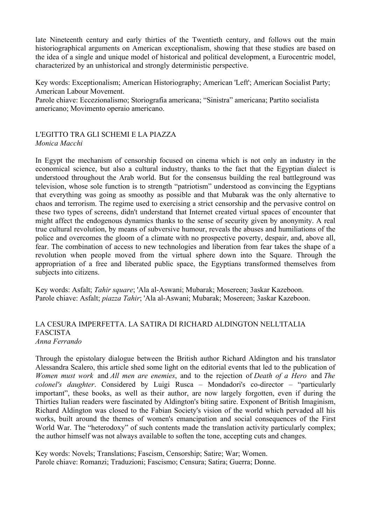late Nineteenth century and early thirties of the Twentieth century, and follows out the main historiographical arguments on American exceptionalism, showing that these studies are based on the idea of a single and unique model of historical and political development, a Eurocentric model, characterized by an unhistorical and strongly deterministic perspective.

Key words: Exceptionalism; American Historiography; American 'Left'; American Socialist Party; American Labour Movement.

Parole chiave: Eccezionalismo; Storiografia americana; "Sinistra" americana; Partito socialista americano; Movimento operaio americano.

## L'EGITTO TRA GLI SCHEMI E LA PIAZZA *Monica Macchi*

In Egypt the mechanism of censorship focused on cinema which is not only an industry in the economical science, but also a cultural industry, thanks to the fact that the Egyptian dialect is understood throughout the Arab world. But for the consensus building the real battleground was television, whose sole function is to strength "patriotism" understood as convincing the Egyptians that everything was going as smoothy as possible and that Mubarak was the only alternative to chaos and terrorism. The regime used to exercising a strict censorship and the pervasive control on these two types of screens, didn't understand that Internet created virtual spaces of encounter that might affect the endogenous dynamics thanks to the sense of security given by anonymity. A real true cultural revolution, by means of subversive humour, reveals the abuses and humiliations of the police and overcomes the gloom of a climate with no prospective poverty, despair, and, above all, fear. The combination of access to new technologies and liberation from fear takes the shape of a revolution when people moved from the virtual sphere down into the Square. Through the appropriation of a free and liberated public space, the Egyptians transformed themselves from subjects into citizens.

Key words: Asfalt; *Tahir square*; 'Ala al-Aswani; Mubarak; Mosereen; 3askar Kazeboon. Parole chiave: Asfalt; *piazza Tahir*; 'Ala al-Aswani; Mubarak; Mosereen; 3askar Kazeboon.

#### LA CESURA IMPERFETTA. LA SATIRA DI RICHARD ALDINGTON NELL'ITALIA FASCISTA *Anna Ferrando*

Through the epistolary dialogue between the British author Richard Aldington and his translator Alessandra Scalero, this article shed some light on the editorial events that led to the publication of *Women must work* and *All men are enemies*, and to the rejection of *Death of a Hero* and *The colonel's daughter*. Considered by Luigi Rusca – Mondadori's co-director – "particularly important", these books, as well as their author, are now largely forgotten, even if during the Thirties Italian readers were fascinated by Aldington's biting satire. Exponent of British Imaginism, Richard Aldington was closed to the Fabian Society's vision of the world which pervaded all his works, built around the themes of women's emancipation and social consequences of the First World War. The "heterodoxy" of such contents made the translation activity particularly complex; the author himself was not always available to soften the tone, accepting cuts and changes.

Key words: Novels; Translations; Fascism, Censorship; Satire; War; Women. Parole chiave: Romanzi; Traduzioni; Fascismo; Censura; Satira; Guerra; Donne.